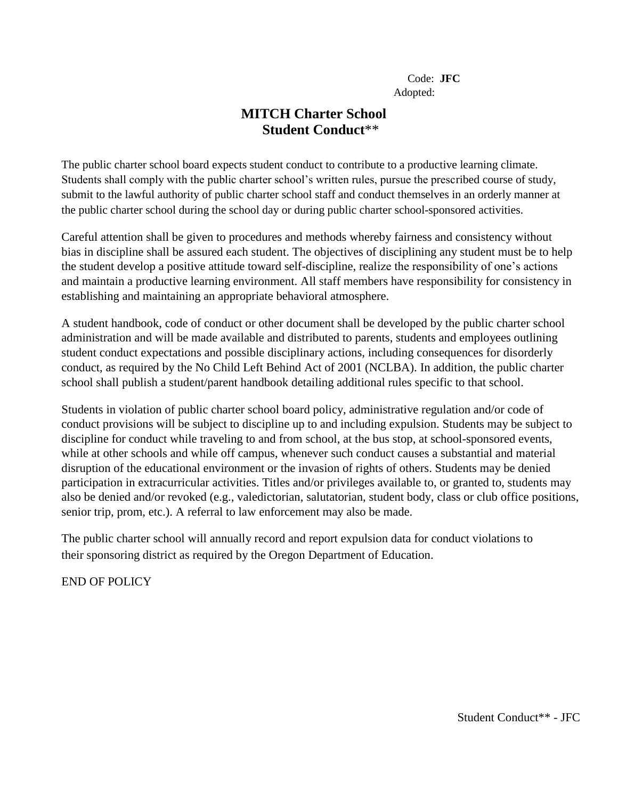## **MITCH Charter School Student Conduct**\*\*

The public charter school board expects student conduct to contribute to a productive learning climate. Students shall comply with the public charter school's written rules, pursue the prescribed course of study, submit to the lawful authority of public charter school staff and conduct themselves in an orderly manner at the public charter school during the school day or during public charter school-sponsored activities.

Careful attention shall be given to procedures and methods whereby fairness and consistency without bias in discipline shall be assured each student. The objectives of disciplining any student must be to help the student develop a positive attitude toward self-discipline, realize the responsibility of one's actions and maintain a productive learning environment. All staff members have responsibility for consistency in establishing and maintaining an appropriate behavioral atmosphere.

A student handbook, code of conduct or other document shall be developed by the public charter school administration and will be made available and distributed to parents, students and employees outlining student conduct expectations and possible disciplinary actions, including consequences for disorderly conduct, as required by the No Child Left Behind Act of 2001 (NCLBA). In addition, the public charter school shall publish a student/parent handbook detailing additional rules specific to that school.

Students in violation of public charter school board policy, administrative regulation and/or code of conduct provisions will be subject to discipline up to and including expulsion. Students may be subject to discipline for conduct while traveling to and from school, at the bus stop, at school-sponsored events, while at other schools and while off campus, whenever such conduct causes a substantial and material disruption of the educational environment or the invasion of rights of others. Students may be denied participation in extracurricular activities. Titles and/or privileges available to, or granted to, students may also be denied and/or revoked (e.g., valedictorian, salutatorian, student body, class or club office positions, senior trip, prom, etc.). A referral to law enforcement may also be made.

The public charter school will annually record and report expulsion data for conduct violations to their sponsoring district as required by the Oregon Department of Education.

END OF POLICY